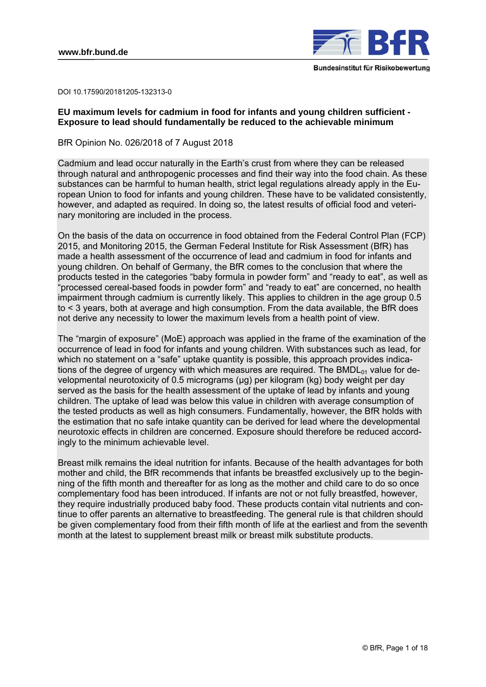

DOI 10.17590/20181205-132313-0

# **EU maximum levels for cadmium in food for infants and young children sufficient - Exposure to lead should fundamentally be reduced to the achievable minimum**

BfR Opinion No. 026/2018 of 7 August 2018

Cadmium and lead occur naturally in the Earth's crust from where they can be released through natural and anthropogenic processes and find their way into the food chain. As these substances can be harmful to human health, strict legal regulations already apply in the European Union to food for infants and young children. These have to be validated consistently, however, and adapted as required. In doing so, the latest results of official food and veterinary monitoring are included in the process.

On the basis of the data on occurrence in food obtained from the Federal Control Plan (FCP) 2015, and Monitoring 2015, the German Federal Institute for Risk Assessment (BfR) has made a health assessment of the occurrence of lead and cadmium in food for infants and young children. On behalf of Germany, the BfR comes to the conclusion that where the products tested in the categories "baby formula in powder form" and "ready to eat", as well as "processed cereal-based foods in powder form" and "ready to eat" are concerned, no health impairment through cadmium is currently likely. This applies to children in the age group 0.5 to < 3 years, both at average and high consumption. From the data available, the BfR does not derive any necessity to lower the maximum levels from a health point of view.

The "margin of exposure" (MoE) approach was applied in the frame of the examination of the occurrence of lead in food for infants and young children. With substances such as lead, for which no statement on a "safe" uptake quantity is possible, this approach provides indications of the degree of urgency with which measures are required. The BMDL $_{01}$  value for developmental neurotoxicity of 0.5 micrograms (µg) per kilogram (kg) body weight per day served as the basis for the health assessment of the uptake of lead by infants and young children. The uptake of lead was below this value in children with average consumption of the tested products as well as high consumers. Fundamentally, however, the BfR holds with the estimation that no safe intake quantity can be derived for lead where the developmental neurotoxic effects in children are concerned. Exposure should therefore be reduced accordingly to the minimum achievable level.

Breast milk remains the ideal nutrition for infants. Because of the health advantages for both mother and child, the BfR recommends that infants be breastfed exclusively up to the beginning of the fifth month and thereafter for as long as the mother and child care to do so once complementary food has been introduced. If infants are not or not fully breastfed, however, they require industrially produced baby food. These products contain vital nutrients and continue to offer parents an alternative to breastfeeding. The general rule is that children should be given complementary food from their fifth month of life at the earliest and from the seventh month at the latest to supplement breast milk or breast milk substitute products.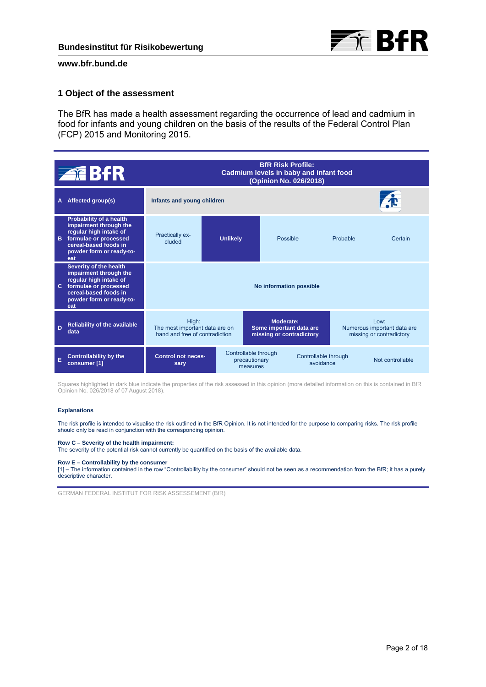

# **1 Object of the assessment**

The BfR has made a health assessment regarding the occurrence of lead and cadmium in food for infants and young children on the basis of the results of the Federal Control Plan (FCP) 2015 and Monitoring 2015.

|    | <b>ZEBFR</b>                                                                                                                                                     | <b>BfR Risk Profile:</b><br>Cadmium levels in baby and infant food<br>(Opinion No. 026/2018) |                         |                                                   |                                                                         |                                   |                                                                    |  |
|----|------------------------------------------------------------------------------------------------------------------------------------------------------------------|----------------------------------------------------------------------------------------------|-------------------------|---------------------------------------------------|-------------------------------------------------------------------------|-----------------------------------|--------------------------------------------------------------------|--|
| A  | Affected group(s)                                                                                                                                                | Infants and young children                                                                   |                         |                                                   |                                                                         |                                   |                                                                    |  |
| в  | Probability of a health<br>impairment through the<br>regular high intake of<br>formulae or processed<br>cereal-based foods in<br>powder form or ready-to-<br>eat | <b>Practically ex-</b><br>cluded                                                             | <b>Unlikely</b>         |                                                   | Possible                                                                | Probable                          | Certain                                                            |  |
| C. | Severity of the health<br>impairment through the<br>regular high intake of<br>formulae or processed<br>cereal-based foods in<br>powder form or ready-to-<br>eat  |                                                                                              | No information possible |                                                   |                                                                         |                                   |                                                                    |  |
| D  | <b>Reliability of the available</b><br>data                                                                                                                      | High:<br>The most important data are on<br>hand and free of contradiction                    |                         |                                                   | <b>Moderate:</b><br>Some important data are<br>missing or contradictory |                                   | $1$ Ow:<br>Numerous important data are<br>missing or contradictory |  |
| F  | <b>Controllability by the</b><br>consumer [1]                                                                                                                    | <b>Control not neces-</b><br>sary                                                            |                         | Controllable through<br>precautionary<br>measures |                                                                         | Controllable through<br>avoidance | Not controllable                                                   |  |

Squares highlighted in dark blue indicate the properties of the risk assessed in this opinion (more detailed information on this is contained in BfR Opinion No. 026/2018 of 07 August 2018).

#### **Explanations**

The risk profile is intended to visualise the risk outlined in the BfR Opinion. It is not intended for the purpose to comparing risks. The risk profile should only be read in conjunction with the corresponding opinion.

#### **Row C – Severity of the health impairment:**

The severity of the potential risk cannot currently be quantified on the basis of the available data.

#### **Row E – Controllability by the consumer**

[1] – The information contained in the row "Controllability by the consumer" should not be seen as a recommendation from the BfR; it has a purely descriptive character.

GERMAN FEDERAL INSTITUT FOR RISK ASSESSEMENT (BfR)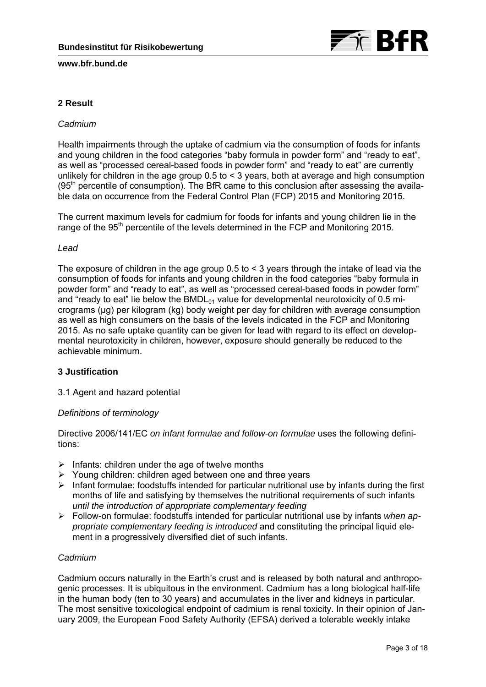

# **2 Result**

# *Cadmium*

Health impairments through the uptake of cadmium via the consumption of foods for infants and young children in the food categories "baby formula in powder form" and "ready to eat", as well as "processed cereal-based foods in powder form" and "ready to eat" are currently unlikely for children in the age group 0.5 to < 3 years, both at average and high consumption  $(95<sup>th</sup>$  percentile of consumption). The BfR came to this conclusion after assessing the available data on occurrence from the Federal Control Plan (FCP) 2015 and Monitoring 2015.

The current maximum levels for cadmium for foods for infants and young children lie in the range of the 95<sup>th</sup> percentile of the levels determined in the FCP and Monitoring 2015.

### *Lead*

The exposure of children in the age group 0.5 to < 3 years through the intake of lead via the consumption of foods for infants and young children in the food categories "baby formula in powder form" and "ready to eat", as well as "processed cereal-based foods in powder form" and "ready to eat" lie below the BMDL $_{01}$  value for developmental neurotoxicity of 0.5 micrograms (µg) per kilogram (kg) body weight per day for children with average consumption as well as high consumers on the basis of the levels indicated in the FCP and Monitoring 2015. As no safe uptake quantity can be given for lead with regard to its effect on developmental neurotoxicity in children, however, exposure should generally be reduced to the achievable minimum.

# **3 Justification**

### 3.1 Agent and hazard potential

### *Definitions of terminology*

Directive 2006/141/EC *on infant formulae and follow-on formulae* uses the following definitions:

- $\triangleright$  Infants: children under the age of twelve months
- $\triangleright$  Young children: children aged between one and three years
- $\triangleright$  Infant formulae: foodstuffs intended for particular nutritional use by infants during the first months of life and satisfying by themselves the nutritional requirements of such infants *until the introduction of appropriate complementary feeding*
- Follow-on formulae: foodstuffs intended for particular nutritional use by infants *when appropriate complementary feeding is introduced* and constituting the principal liquid element in a progressively diversified diet of such infants.

# *Cadmium*

Cadmium occurs naturally in the Earth's crust and is released by both natural and anthropogenic processes. It is ubiquitous in the environment. Cadmium has a long biological half-life in the human body (ten to 30 years) and accumulates in the liver and kidneys in particular. The most sensitive toxicological endpoint of cadmium is renal toxicity. In their opinion of January 2009, the European Food Safety Authority (EFSA) derived a tolerable weekly intake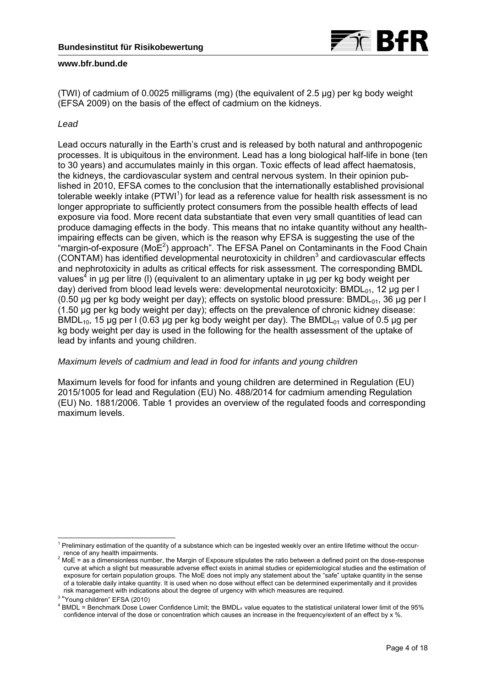

(TWI) of cadmium of 0.0025 milligrams (mg) (the equivalent of 2.5 μg) per kg body weight (EFSA 2009) on the basis of the effect of cadmium on the kidneys.

### *Lead*

Lead occurs naturally in the Earth's crust and is released by both natural and anthropogenic processes. It is ubiquitous in the environment. Lead has a long biological half-life in bone (ten to 30 years) and accumulates mainly in this organ. Toxic effects of lead affect haematosis, the kidneys, the cardiovascular system and central nervous system. In their opinion published in 2010, EFSA comes to the conclusion that the internationally established provisional tolerable weekly intake (PTWI<sup>1</sup>) for lead as a reference value for health risk assessment is no longer appropriate to sufficiently protect consumers from the possible health effects of lead exposure via food. More recent data substantiate that even very small quantities of lead can produce damaging effects in the body. This means that no intake quantity without any healthimpairing effects can be given, which is the reason why EFSA is suggesting the use of the "margin-of-exposure ( $MoE<sup>2</sup>$ ) approach". The EFSA Panel on Contaminants in the Food Chain (CONTAM) has identified developmental neurotoxicity in children<sup>3</sup> and cardiovascular effects and nephrotoxicity in adults as critical effects for risk assessment. The corresponding BMDL values<sup>4</sup> in µg per litre (I) (equivalent to an alimentary uptake in µg per kg body weight per day) derived from blood lead levels were: developmental neurotoxicity: BMDL $_{01}$ , 12 µg per l  $(0.50$  ug per kg body weight per day); effects on systolic blood pressure: BMDL $_{01}$ , 36 ug per l (1.50 µg per kg body weight per day); effects on the prevalence of chronic kidney disease: BMDL $_{10}$ , 15 ug per l (0.63 ug per kg body weight per day). The BMDL $_{01}$  value of 0.5 ug per kg body weight per day is used in the following for the health assessment of the uptake of lead by infants and young children.

### *Maximum levels of cadmium and lead in food for infants and young children*

Maximum levels for food for infants and young children are determined in Regulation (EU) 2015/1005 for lead and Regulation (EU) No. 488/2014 for cadmium amending Regulation (EU) No. 1881/2006. Table 1 provides an overview of the regulated foods and corresponding maximum levels.

<sup>-</sup><sup>1</sup> Preliminary estimation of the quantity of a substance which can be ingested weekly over an entire lifetime without the occurrence of any health impairments. 2

MoE = as a dimensionless number, the Margin of Exposure stipulates the ratio between a defined point on the dose-response curve at which a slight but measurable adverse effect exists in animal studies or epidemiological studies and the estimation of exposure for certain population groups. The MoE does not imply any statement about the "safe" uptake quantity in the sense of a tolerable daily intake quantity. It is used when no dose without effect can be determined experimentally and it provides risk management with indications about the degree of urgency with which measures are required.

<sup>&</sup>lt;sup>3</sup> "Young children" EFSA (2010)

<sup>&</sup>lt;sup>4</sup> BMDL = Benchmark Dose Lower Confidence Limit; the BMDL<sub>x</sub> value equates to the statistical unilateral lower limit of the 95% confidence interval of the dose or concentration which causes an increase in the frequency/extent of an effect by x %.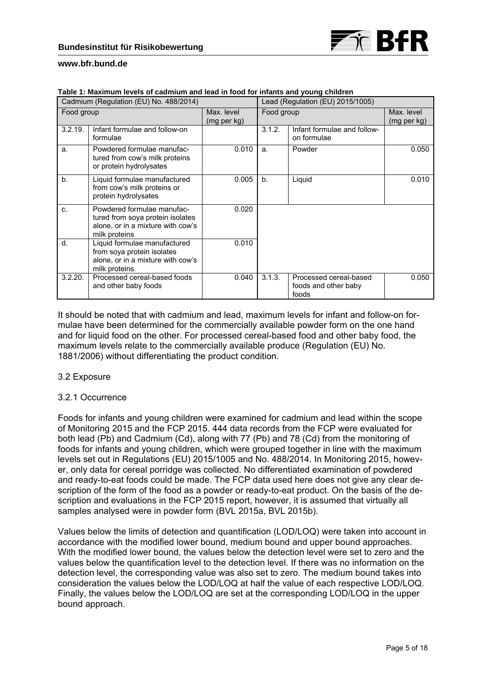

|            | Cadmium (Regulation (EU) No. 488/2014)                                                                               | Lead (Regulation (EU) 2015/1005) |            |                                                         |                           |
|------------|----------------------------------------------------------------------------------------------------------------------|----------------------------------|------------|---------------------------------------------------------|---------------------------|
| Food group |                                                                                                                      | Max. level<br>(mg per kg)        | Food group |                                                         | Max. level<br>(mg per kg) |
| 3.2.19.    | Infant formulae and follow-on<br>formulae                                                                            |                                  | 3.1.2.     | Infant formulae and follow-<br>on formulae              |                           |
| a.         | Powdered formulae manufac-<br>tured from cow's milk proteins<br>or protein hydrolysates                              | 0.010                            | a.         | Powder                                                  | 0.050                     |
| b.         | Liquid formulae manufactured<br>from cow's milk proteins or<br>protein hydrolysates                                  | 0.005                            | b.         | Liquid                                                  | 0.010                     |
| $C_{n}$    | Powdered formulae manufac-<br>tured from soya protein isolates<br>alone, or in a mixture with cow's<br>milk proteins | 0.020                            |            |                                                         |                           |
| $d$ .      | Liquid formulae manufactured<br>from soya protein isolates<br>alone, or in a mixture with cow's<br>milk proteins     | 0.010                            |            |                                                         |                           |
| 3.2.20.    | Processed cereal-based foods<br>and other baby foods                                                                 | 0.040                            | 3.1.3.     | Processed cereal-based<br>foods and other baby<br>foods | 0.050                     |

**Table 1: Maximum levels of cadmium and lead in food for infants and young children** 

It should be noted that with cadmium and lead, maximum levels for infant and follow-on formulae have been determined for the commercially available powder form on the one hand and for liquid food on the other. For processed cereal-based food and other baby food, the maximum levels relate to the commercially available produce (Regulation (EU) No. 1881/2006) without differentiating the product condition.

### 3.2 Exposure

### 3.2.1 Occurrence

Foods for infants and young children were examined for cadmium and lead within the scope of Monitoring 2015 and the FCP 2015. 444 data records from the FCP were evaluated for both lead (Pb) and Cadmium (Cd), along with 77 (Pb) and 78 (Cd) from the monitoring of foods for infants and young children, which were grouped together in line with the maximum levels set out in Regulations (EU) 2015/1005 and No. 488/2014. In Monitoring 2015, however, only data for cereal porridge was collected. No differentiated examination of powdered and ready-to-eat foods could be made. The FCP data used here does not give any clear description of the form of the food as a powder or ready-to-eat product. On the basis of the description and evaluations in the FCP 2015 report, however, it is assumed that virtually all samples analysed were in powder form (BVL 2015a, BVL 2015b).

Values below the limits of detection and quantification (LOD/LOQ) were taken into account in accordance with the modified lower bound, medium bound and upper bound approaches. With the modified lower bound, the values below the detection level were set to zero and the values below the quantification level to the detection level. If there was no information on the detection level, the corresponding value was also set to zero. The medium bound takes into consideration the values below the LOD/LOQ at half the value of each respective LOD/LOQ. Finally, the values below the LOD/LOQ are set at the corresponding LOD/LOQ in the upper bound approach.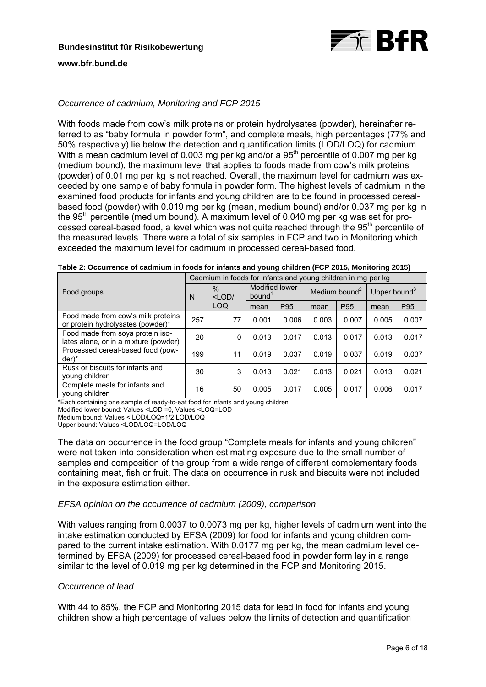

# *Occurrence of cadmium, Monitoring and FCP 2015*

With foods made from cow's milk proteins or protein hydrolysates (powder), hereinafter referred to as "baby formula in powder form", and complete meals, high percentages (77% and 50% respectively) lie below the detection and quantification limits (LOD/LOQ) for cadmium. With a mean cadmium level of 0.003 mg per kg and/or a  $95<sup>th</sup>$  percentile of 0.007 mg per kg (medium bound), the maximum level that applies to foods made from cow's milk proteins (powder) of 0.01 mg per kg is not reached. Overall, the maximum level for cadmium was exceeded by one sample of baby formula in powder form. The highest levels of cadmium in the examined food products for infants and young children are to be found in processed cerealbased food (powder) with 0.019 mg per kg (mean, medium bound) and/or 0.037 mg per kg in the 95<sup>th</sup> percentile (medium bound). A maximum level of 0.040 mg per kg was set for processed cereal-based food, a level which was not quite reached through the 95<sup>th</sup> percentile of the measured levels. There were a total of six samples in FCP and two in Monitoring which exceeded the maximum level for cadmium in processed cereal-based food.

|                                                                           |     | Cadmium in foods for infants and young children in mg per kg |                                      |       |                           |       |                          |       |
|---------------------------------------------------------------------------|-----|--------------------------------------------------------------|--------------------------------------|-------|---------------------------|-------|--------------------------|-------|
| Food groups                                                               | N   | $\frac{0}{0}$<br>$<$ LOD                                     | Modified lower<br>bound <sup>1</sup> |       | Medium bound <sup>2</sup> |       | Upper bound <sup>3</sup> |       |
|                                                                           |     | LOQ                                                          | mean                                 | P95   | mean                      | P95   | mean                     | P95   |
| Food made from cow's milk proteins<br>or protein hydrolysates (powder)*   | 257 | 77                                                           | 0.001                                | 0.006 | 0.003                     | 0.007 | 0.005                    | 0.007 |
| Food made from soya protein iso-<br>lates alone, or in a mixture (powder) | 20  | 0                                                            | 0.013                                | 0.017 | 0.013                     | 0.017 | 0.013                    | 0.017 |
| Processed cereal-based food (pow-<br>der)*                                | 199 | 11                                                           | 0.019                                | 0.037 | 0.019                     | 0.037 | 0.019                    | 0.037 |
| Rusk or biscuits for infants and<br>young children                        | 30  | 3                                                            | 0.013                                | 0.021 | 0.013                     | 0.021 | 0.013                    | 0.021 |
| Complete meals for infants and<br>young children                          | 16  | 50                                                           | 0.005                                | 0.017 | 0.005                     | 0.017 | 0.006                    | 0.017 |

**Table 2: Occurrence of cadmium in foods for infants and young children (FCP 2015, Monitoring 2015)** 

\*Each containing one sample of ready-to-eat food for infants and young children

Modified lower bound: Values <LOD =0, Values <LOQ=LOD

Medium bound: Values < LOD/LOQ=1/2 LOD/LOQ

Upper bound: Values <LOD/LOQ=LOD/LOQ

The data on occurrence in the food group "Complete meals for infants and young children" were not taken into consideration when estimating exposure due to the small number of samples and composition of the group from a wide range of different complementary foods containing meat, fish or fruit. The data on occurrence in rusk and biscuits were not included in the exposure estimation either.

### *EFSA opinion on the occurrence of cadmium (2009), comparison*

With values ranging from 0.0037 to 0.0073 mg per kg, higher levels of cadmium went into the intake estimation conducted by EFSA (2009) for food for infants and young children compared to the current intake estimation. With 0.0177 mg per kg, the mean cadmium level determined by EFSA (2009) for processed cereal-based food in powder form lay in a range similar to the level of 0.019 mg per kg determined in the FCP and Monitoring 2015.

### *Occurrence of lead*

With 44 to 85%, the FCP and Monitoring 2015 data for lead in food for infants and young children show a high percentage of values below the limits of detection and quantification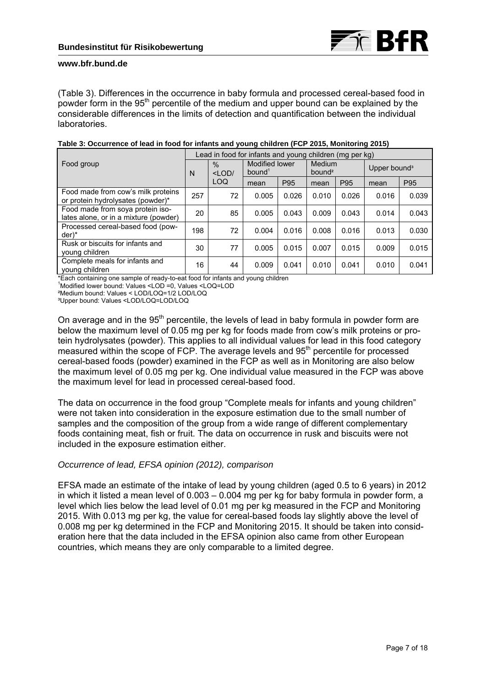

(Table 3). Differences in the occurrence in baby formula and processed cereal-based food in powder form in the 95<sup>th</sup> percentile of the medium and upper bound can be explained by the considerable differences in the limits of detection and quantification between the individual laboratories.

|                                                                           |     | Lead in food for infants and young children (mg per kg) |                                      |                 |                              |       |                          |       |
|---------------------------------------------------------------------------|-----|---------------------------------------------------------|--------------------------------------|-----------------|------------------------------|-------|--------------------------|-------|
| Food group                                                                |     | $\frac{0}{0}$<br>$<$ LOD $/$                            | Modified lower<br>bound <sup>1</sup> |                 | Medium<br>bound <sup>2</sup> |       | Upper bound <sup>3</sup> |       |
|                                                                           |     | LOQ                                                     | mean                                 | P <sub>95</sub> | mean                         | P95   | mean                     | P95   |
| Food made from cow's milk proteins<br>or protein hydrolysates (powder)*   | 257 | 72                                                      | 0.005                                | 0.026           | 0.010                        | 0.026 | 0.016                    | 0.039 |
| Food made from soya protein iso-<br>lates alone, or in a mixture (powder) | 20  | 85                                                      | 0.005                                | 0.043           | 0.009                        | 0.043 | 0.014                    | 0.043 |
| Processed cereal-based food (pow-<br>$der^*$                              | 198 | 72                                                      | 0.004                                | 0.016           | 0.008                        | 0.016 | 0.013                    | 0.030 |
| Rusk or biscuits for infants and<br>young children                        | 30  | 77                                                      | 0.005                                | 0.015           | 0.007                        | 0.015 | 0.009                    | 0.015 |
| Complete meals for infants and<br>voung children                          | 16  | 44                                                      | 0.009                                | 0.041           | 0.010                        | 0.041 | 0.010                    | 0.041 |

# **Table 3: Occurrence of lead in food for infants and young children (FCP 2015, Monitoring 2015)**

\*Each containing one sample of ready-to-eat food for infants and young children 1

Modified lower bound: Values <LOD =0, Values <LOQ=LOD

²Medium bound: Values < LOD/LOQ=1/2 LOD/LOQ

³Upper bound: Values <LOD/LOQ=LOD/LOQ

On average and in the 95<sup>th</sup> percentile, the levels of lead in baby formula in powder form are below the maximum level of 0.05 mg per kg for foods made from cow's milk proteins or protein hydrolysates (powder). This applies to all individual values for lead in this food category measured within the scope of FCP. The average levels and 95<sup>th</sup> percentile for processed cereal-based foods (powder) examined in the FCP as well as in Monitoring are also below the maximum level of 0.05 mg per kg. One individual value measured in the FCP was above the maximum level for lead in processed cereal-based food.

The data on occurrence in the food group "Complete meals for infants and young children" were not taken into consideration in the exposure estimation due to the small number of samples and the composition of the group from a wide range of different complementary foods containing meat, fish or fruit. The data on occurrence in rusk and biscuits were not included in the exposure estimation either.

### *Occurrence of lead, EFSA opinion (2012), comparison*

EFSA made an estimate of the intake of lead by young children (aged 0.5 to 6 years) in 2012 in which it listed a mean level of 0.003 – 0.004 mg per kg for baby formula in powder form, a level which lies below the lead level of 0.01 mg per kg measured in the FCP and Monitoring 2015. With 0.013 mg per kg, the value for cereal-based foods lay slightly above the level of 0.008 mg per kg determined in the FCP and Monitoring 2015. It should be taken into consideration here that the data included in the EFSA opinion also came from other European countries, which means they are only comparable to a limited degree.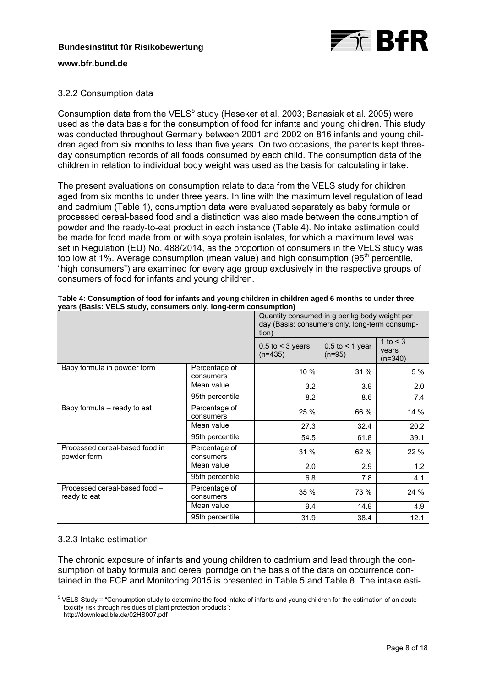

# 3.2.2 Consumption data

Consumption data from the VELS $<sup>5</sup>$  study (Heseker et al. 2003; Banasiak et al. 2005) were</sup> used as the data basis for the consumption of food for infants and young children. This study was conducted throughout Germany between 2001 and 2002 on 816 infants and young children aged from six months to less than five years. On two occasions, the parents kept threeday consumption records of all foods consumed by each child. The consumption data of the children in relation to individual body weight was used as the basis for calculating intake.

The present evaluations on consumption relate to data from the VELS study for children aged from six months to under three years. In line with the maximum level regulation of lead and cadmium (Table 1), consumption data were evaluated separately as baby formula or processed cereal-based food and a distinction was also made between the consumption of powder and the ready-to-eat product in each instance (Table 4). No intake estimation could be made for food made from or with soya protein isolates, for which a maximum level was set in Regulation (EU) No. 488/2014, as the proportion of consumers in the VELS study was too low at 1%. Average consumption (mean value) and high consumption  $(95<sup>th</sup>$  percentile, "high consumers") are examined for every age group exclusively in the respective groups of consumers of food for infants and young children.

|                                               | Quantity consumed in g per kg body weight per<br>day (Basis: consumers only, long-term consump-<br>tion) |                                      |                                    |                                     |  |
|-----------------------------------------------|----------------------------------------------------------------------------------------------------------|--------------------------------------|------------------------------------|-------------------------------------|--|
|                                               |                                                                                                          | $0.5$ to $\leq$ 3 years<br>$(n=435)$ | $0.5$ to $\leq 1$ year<br>$(n=95)$ | 1 to $\leq$ 3<br>years<br>$(n=340)$ |  |
| Baby formula in powder form                   | Percentage of<br>consumers                                                                               | 10 %                                 | 31 %                               | 5 %                                 |  |
|                                               | Mean value                                                                                               | 3.2                                  | 3.9                                | 2.0                                 |  |
|                                               | 95th percentile                                                                                          | 8.2                                  | 8.6                                | 7.4                                 |  |
| Baby formula – ready to eat                   | Percentage of<br>consumers                                                                               | 25 %                                 | 66 %                               | 14 %                                |  |
|                                               | Mean value                                                                                               | 27.3                                 | 32.4                               | 20.2                                |  |
|                                               | 95th percentile                                                                                          | 54.5                                 | 61.8                               | 39.1                                |  |
| Processed cereal-based food in<br>powder form | Percentage of<br>consumers                                                                               | 31 %                                 | 62 %                               | 22 %                                |  |
|                                               | Mean value                                                                                               | 2.0                                  | 2.9                                | 1.2                                 |  |
|                                               | 95th percentile                                                                                          | 6.8                                  | 7.8                                | 4.1                                 |  |
| Processed cereal-based food -<br>ready to eat | Percentage of<br>consumers                                                                               | 35 %                                 | 73 %                               | 24 %                                |  |
|                                               | Mean value                                                                                               | 9.4                                  | 14.9                               | 4.9                                 |  |
|                                               | 95th percentile                                                                                          | 31.9                                 | 38.4                               | 12.1                                |  |

**Table 4: Consumption of food for infants and young children in children aged 6 months to under three years (Basis: VELS study, consumers only, long-term consumption)** 

### 3.2.3 Intake estimation

The chronic exposure of infants and young children to cadmium and lead through the consumption of baby formula and cereal porridge on the basis of the data on occurrence contained in the FCP and Monitoring 2015 is presented in Table 5 and Table 8. The intake esti-

 5 VELS-Study = "Consumption study to determine the food intake of infants and young children for the estimation of an acute toxicity risk through residues of plant protection products":

http://download.ble.de/02HS007.pdf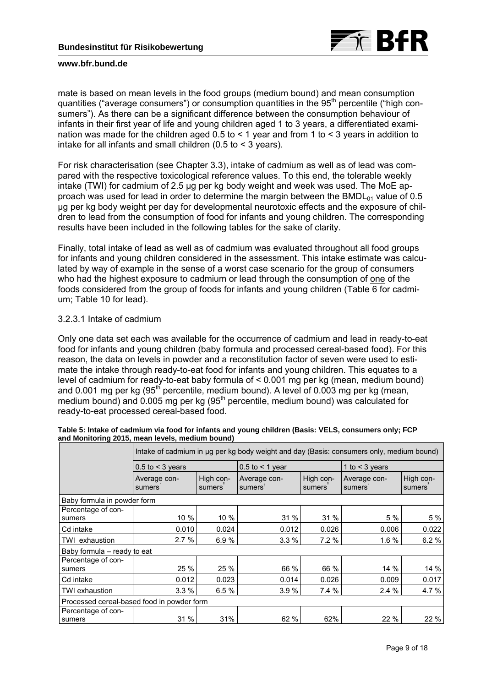

mate is based on mean levels in the food groups (medium bound) and mean consumption quantities ("average consumers") or consumption quantities in the 95<sup>th</sup> percentile ("high consumers"). As there can be a significant difference between the consumption behaviour of infants in their first year of life and young children aged 1 to 3 years, a differentiated examination was made for the children aged 0.5 to  $\leq$  1 year and from 1 to  $\leq$  3 years in addition to intake for all infants and small children (0.5 to < 3 years).

For risk characterisation (see Chapter 3.3), intake of cadmium as well as of lead was compared with the respective toxicological reference values. To this end, the tolerable weekly intake (TWI) for cadmium of 2.5 µg per kg body weight and week was used. The MoE approach was used for lead in order to determine the margin between the BMDL $_{01}$  value of 0.5 µg per kg body weight per day for developmental neurotoxic effects and the exposure of children to lead from the consumption of food for infants and young children. The corresponding results have been included in the following tables for the sake of clarity.

Finally, total intake of lead as well as of cadmium was evaluated throughout all food groups for infants and young children considered in the assessment. This intake estimate was calculated by way of example in the sense of a worst case scenario for the group of consumers who had the highest exposure to cadmium or lead through the consumption of one of the foods considered from the group of foods for infants and young children (Table 6 for cadmium; Table 10 for lead).

### 3.2.3.1 Intake of cadmium

Only one data set each was available for the occurrence of cadmium and lead in ready-to-eat food for infants and young children (baby formula and processed cereal-based food). For this reason, the data on levels in powder and a reconstitution factor of seven were used to estimate the intake through ready-to-eat food for infants and young children. This equates to a level of cadmium for ready-to-eat baby formula of < 0.001 mg per kg (mean, medium bound) and 0.001 mg per kg  $(95<sup>th</sup>$  percentile, medium bound). A level of 0.003 mg per kg (mean, medium bound) and 0.005 mg per kg  $(95<sup>th</sup>$  percentile, medium bound) was calculated for ready-to-eat processed cereal-based food.

|                                            | Intake of cadmium in ug per kg body weight and day (Basis: consumers only, medium bound) |                     |                                     |                     |                                     |                     |  |
|--------------------------------------------|------------------------------------------------------------------------------------------|---------------------|-------------------------------------|---------------------|-------------------------------------|---------------------|--|
|                                            | $0.5$ to < 3 years                                                                       |                     | $0.5$ to $\leq 1$ year              |                     | 1 to $<$ 3 years                    |                     |  |
|                                            | Average con-<br>sumers <sup>1</sup>                                                      | High con-<br>sumers | Average con-<br>sumers <sup>1</sup> | High con-<br>sumers | Average con-<br>sumers <sup>1</sup> | High con-<br>sumers |  |
| Baby formula in powder form                |                                                                                          |                     |                                     |                     |                                     |                     |  |
| Percentage of con-<br>sumers               | 10 %                                                                                     | 10 %                | 31 %                                | 31 %                | 5 %                                 | 5 %                 |  |
| Cd intake                                  | 0.010                                                                                    | 0.024               | 0.012                               | 0.026               | 0.006                               | 0.022               |  |
| TWI exhaustion                             | 2.7%                                                                                     | 6.9%                | 3.3%                                | 7.2%                | 1.6 %                               | 6.2%                |  |
| Baby formula – ready to eat                |                                                                                          |                     |                                     |                     |                                     |                     |  |
| Percentage of con-<br>sumers               | 25 %                                                                                     | 25 %                | 66 %                                | 66 %                | 14 %                                | 14 %                |  |
| Cd intake                                  | 0.012                                                                                    | 0.023               | 0.014                               | 0.026               | 0.009                               | 0.017               |  |
| TWI exhaustion                             | 3.3%                                                                                     | 6.5 %               | 3.9%                                | 7.4 %               | 2.4%                                | 4.7 %               |  |
| Processed cereal-based food in powder form |                                                                                          |                     |                                     |                     |                                     |                     |  |
| Percentage of con-<br>sumers               | 31 %                                                                                     | 31%                 | 62 %                                | 62%                 | 22 %                                | 22 %                |  |

|                                                 | Table 5: Intake of cadmium via food for infants and young children (Basis: VELS, consumers only; FCP |
|-------------------------------------------------|------------------------------------------------------------------------------------------------------|
| and Monitoring 2015, mean levels, medium bound) |                                                                                                      |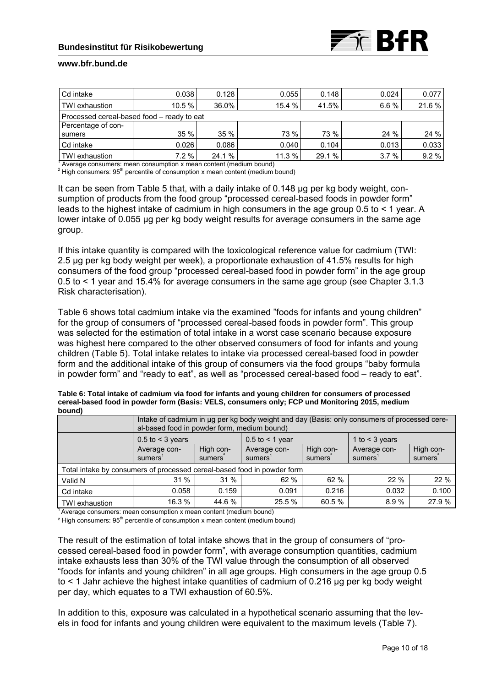| Cd intake                                                         | 0.038  | 0.128  | 0.055  | 0.148  | 0.024 | 0.077 |  |  |
|-------------------------------------------------------------------|--------|--------|--------|--------|-------|-------|--|--|
| <b>TWI</b> exhaustion                                             | 10.5 % | 36.0%  | 15.4 % | 41.5%  | 6.6%  | 21.6% |  |  |
| Processed cereal-based food – ready to eat                        |        |        |        |        |       |       |  |  |
| Percentage of con-                                                |        |        |        |        |       |       |  |  |
| sumers                                                            | 35%    | 35%    | 73 %   | 73 %   | 24 %  | 24 %  |  |  |
| Cd intake                                                         | 0.026  | 0.086  | 0.040  | 0.104  | 0.013 | 0.033 |  |  |
| <b>TWI</b> exhaustion                                             | 7.2%   | 24.1 % | 11.3%  | 29.1 % | 3.7%  | 9.2%  |  |  |
| Average concuments mean concumption y mean contant (modium bound) |        |        |        |        |       |       |  |  |

<sup>1</sup> Average consumers: mean consumption x mean content (medium bound)  $2.1$  ligh consumers:  $0.5$ <sup>th</sup> persontile of consumation y mean content (medium)

 $2$  High consumers: 95<sup>th</sup> percentile of consumption x mean content (medium bound)

It can be seen from Table 5 that, with a daily intake of 0.148 µg per kg body weight, consumption of products from the food group "processed cereal-based foods in powder form" leads to the highest intake of cadmium in high consumers in the age group 0.5 to < 1 year. A lower intake of 0.055 µg per kg body weight results for average consumers in the same age group.

If this intake quantity is compared with the toxicological reference value for cadmium (TWI: 2.5 µg per kg body weight per week), a proportionate exhaustion of 41.5% results for high consumers of the food group "processed cereal-based food in powder form" in the age group 0.5 to < 1 year and 15.4% for average consumers in the same age group (see Chapter 3.1.3 Risk characterisation).

Table 6 shows total cadmium intake via the examined "foods for infants and young children" for the group of consumers of "processed cereal-based foods in powder form". This group was selected for the estimation of total intake in a worst case scenario because exposure was highest here compared to the other observed consumers of food for infants and young children (Table 5). Total intake relates to intake via processed cereal-based food in powder form and the additional intake of this group of consumers via the food groups "baby formula in powder form" and "ready to eat", as well as "processed cereal-based food – ready to eat".

| bound)                                                                  |                         |                                                                                                                                             |                         |                     |                         |                     |  |  |  |
|-------------------------------------------------------------------------|-------------------------|---------------------------------------------------------------------------------------------------------------------------------------------|-------------------------|---------------------|-------------------------|---------------------|--|--|--|
|                                                                         |                         | Intake of cadmium in ug per kg body weight and day (Basis: only consumers of processed cere-<br>al-based food in powder form, medium bound) |                         |                     |                         |                     |  |  |  |
|                                                                         | $0.5$ to $\leq$ 3 years |                                                                                                                                             | $0.5$ to $\leq 1$ year  |                     | 1 to $<$ 3 years        |                     |  |  |  |
|                                                                         | Average con-<br>sumers' | High con-<br>sumers                                                                                                                         | Average con-<br>sumers' | High con-<br>sumers | Average con-<br>sumers' | High con-<br>sumers |  |  |  |
| Total intake by consumers of processed cereal-based food in powder form |                         |                                                                                                                                             |                         |                     |                         |                     |  |  |  |
| Valid N                                                                 | 31 %                    | $31\%$                                                                                                                                      | 62%                     | 62 %                | 22%                     | 22%                 |  |  |  |
| Cd intake                                                               | 0.058                   | 0.159                                                                                                                                       | 0.091                   | 0.216               | 0.032                   | 0.100               |  |  |  |
| l TWI exhaustion                                                        | 16.3 %                  | 44.6 %                                                                                                                                      | 25.5%                   | 60.5 %              | 8.9%                    | 27.9 %              |  |  |  |

**Table 6: Total intake of cadmium via food for infants and young children for consumers of processed cereal-based food in powder form (Basis: VELS, consumers only; FCP und Monitoring 2015, medium bound)** 

 $14$  Average consumers: mean consumption x mean content (medium bound)

 $2$  High consumers: 95<sup>th</sup> percentile of consumption x mean content (medium bound)

The result of the estimation of total intake shows that in the group of consumers of "processed cereal-based food in powder form", with average consumption quantities, cadmium intake exhausts less than 30% of the TWI value through the consumption of all observed "foods for infants and young children" in all age groups. High consumers in the age group 0.5 to < 1 Jahr achieve the highest intake quantities of cadmium of 0.216 µg per kg body weight per day, which equates to a TWI exhaustion of 60.5%.

In addition to this, exposure was calculated in a hypothetical scenario assuming that the levels in food for infants and young children were equivalent to the maximum levels (Table 7).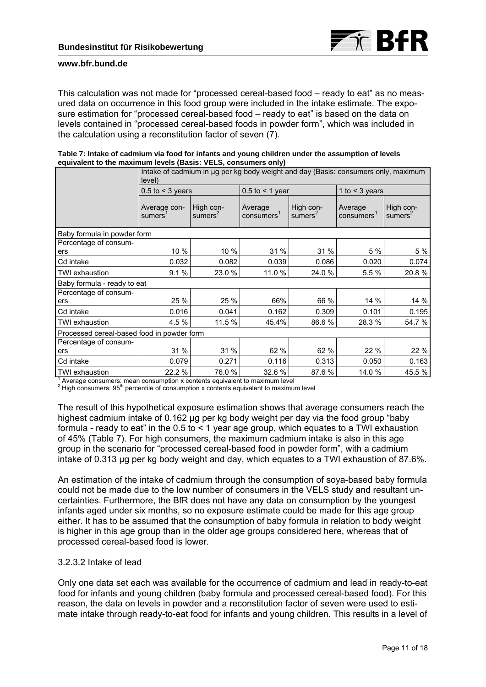

This calculation was not made for "processed cereal-based food – ready to eat" as no measured data on occurrence in this food group were included in the intake estimate. The exposure estimation for "processed cereal-based food – ready to eat" is based on the data on levels contained in "processed cereal-based foods in powder form", which was included in the calculation using a reconstitution factor of seven (7).

|                                                                | Intake of cadmium in µg per kg body weight and day (Basis: consumers only, maximum<br>level) |                         |                      |                         |                                   |                         |  |
|----------------------------------------------------------------|----------------------------------------------------------------------------------------------|-------------------------|----------------------|-------------------------|-----------------------------------|-------------------------|--|
|                                                                | $0.5$ to $\leq 3$ years                                                                      |                         | $0.5$ to < 1 year    |                         | 1 to $<$ 3 years                  |                         |  |
|                                                                | Average con-<br>sumers <sup>1</sup>                                                          | High con-<br>sumers $2$ | Average<br>consumers | High con-<br>sumers $2$ | Average<br>consumers <sup>1</sup> | High con-<br>sumers $2$ |  |
| Baby formula in powder form                                    |                                                                                              |                         |                      |                         |                                   |                         |  |
| Percentage of consum-<br>ers                                   | 10 %                                                                                         | 10 %                    | 31 %                 | 31 %                    | 5 %                               | 5 %                     |  |
| Cd intake                                                      | 0.032                                                                                        | 0.082                   | 0.039                | 0.086                   | 0.020                             | 0.074                   |  |
| <b>TWI exhaustion</b>                                          | 9.1%                                                                                         | 23.0 %                  | 11.0 %               | 24.0 %                  | 5.5 %                             | 20.8%                   |  |
| Baby formula - ready to eat                                    |                                                                                              |                         |                      |                         |                                   |                         |  |
| Percentage of consum-<br>ers                                   | 25 %                                                                                         | 25 %                    | 66%                  | 66 %                    | 14 %                              | 14 %                    |  |
| Cd intake                                                      | 0.016                                                                                        | 0.041                   | 0.162                | 0.309                   | 0.101                             | 0.195                   |  |
| TWI exhaustion                                                 | 4.5%                                                                                         | 11.5 %                  | 45.4%                | 86.6%                   | 28.3 %                            | 54.7 %                  |  |
| Processed cereal-based food in powder form                     |                                                                                              |                         |                      |                         |                                   |                         |  |
| Percentage of consum-                                          |                                                                                              |                         |                      |                         |                                   |                         |  |
| ers                                                            | 31 %                                                                                         | 31 %                    | 62 %                 | 62 %                    | 22 %                              | 22 %                    |  |
| Cd intake                                                      | 0.079                                                                                        | 0.271                   | 0.116                | 0.313                   | 0.050                             | 0.163                   |  |
| <b>TWI exhaustion</b><br>$\frac{1}{1}$ Average espaymers: mean | 22.2 %<br>consumption y contente caujualent to movimum lovel                                 | 76.0%                   | 32.6 %               | 87.6 %                  | 14.0 %                            | 45.5 %                  |  |

|                                                                | Table 7: Intake of cadmium via food for infants and young children under the assumption of levels |
|----------------------------------------------------------------|---------------------------------------------------------------------------------------------------|
| equivalent to the maximum levels (Basis: VELS, consumers only) |                                                                                                   |

<sup>1</sup> Average consumers: mean consumption x contents equivalent to maximum level  $2 \cdot$  lish consumers:  $\Omega_{\rm E}^{\rm th}$  persentile of consumption y contents equivalent to maximum

<sup>2</sup> High consumers: 95<sup>th</sup> percentile of consumption x contents equivalent to maximum level

The result of this hypothetical exposure estimation shows that average consumers reach the highest cadmium intake of 0.162 µg per kg body weight per day via the food group "baby formula - ready to eat" in the  $0.5$  to  $\leq 1$  year age group, which equates to a TWI exhaustion of 45% (Table 7). For high consumers, the maximum cadmium intake is also in this age group in the scenario for "processed cereal-based food in powder form", with a cadmium intake of 0.313 µg per kg body weight and day, which equates to a TWI exhaustion of 87.6%.

An estimation of the intake of cadmium through the consumption of soya-based baby formula could not be made due to the low number of consumers in the VELS study and resultant uncertainties. Furthermore, the BfR does not have any data on consumption by the youngest infants aged under six months, so no exposure estimate could be made for this age group either. It has to be assumed that the consumption of baby formula in relation to body weight is higher in this age group than in the older age groups considered here, whereas that of processed cereal-based food is lower.

### 3.2.3.2 Intake of lead

Only one data set each was available for the occurrence of cadmium and lead in ready-to-eat food for infants and young children (baby formula and processed cereal-based food). For this reason, the data on levels in powder and a reconstitution factor of seven were used to estimate intake through ready-to-eat food for infants and young children. This results in a level of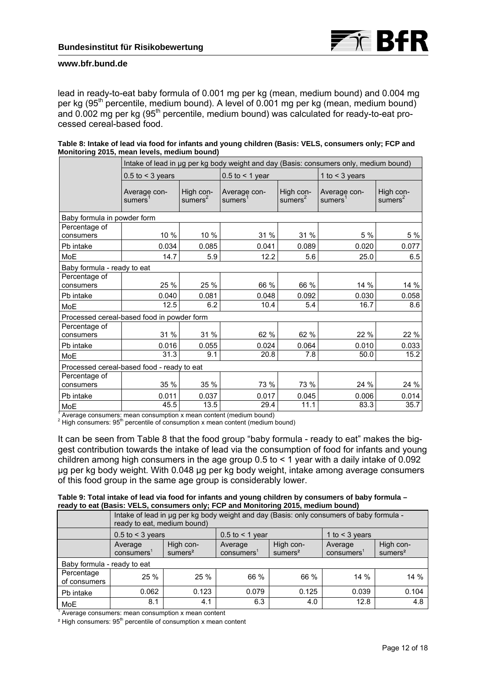lead in ready-to-eat baby formula of 0.001 mg per kg (mean, medium bound) and 0.004 mg per kg (95<sup>th</sup> percentile, medium bound). A level of 0.001 mg per kg (mean, medium bound) and 0.002 mg per kg (95<sup>th</sup> percentile, medium bound) was calculated for ready-to-eat processed cereal-based food.

| Table 8: Intake of lead via food for infants and young children (Basis: VELS, consumers only; FCP and |  |  |
|-------------------------------------------------------------------------------------------------------|--|--|
| Monitoring 2015, mean levels, medium bound)                                                           |  |  |

|                                                                   | Intake of lead in µg per kg body weight and day (Basis: consumers only, medium bound) |                         |                                     |                         |                                     |                         |  |  |
|-------------------------------------------------------------------|---------------------------------------------------------------------------------------|-------------------------|-------------------------------------|-------------------------|-------------------------------------|-------------------------|--|--|
|                                                                   | $0.5$ to < 3 years                                                                    |                         | $0.5$ to < 1 year                   |                         | 1 to $<$ 3 years                    |                         |  |  |
|                                                                   | Average con-<br>sumers <sup>1</sup>                                                   | High con-<br>sumers $2$ | Average con-<br>sumers <sup>1</sup> | High con-<br>sumers $2$ | Average con-<br>sumers <sup>1</sup> | High con-<br>sumers $2$ |  |  |
| Baby formula in powder form                                       |                                                                                       |                         |                                     |                         |                                     |                         |  |  |
| Percentage of<br>consumers                                        | 10 %                                                                                  | 10 %                    | 31 %                                | 31 %                    | 5 %                                 | 5 %                     |  |  |
| Pb intake                                                         | 0.034                                                                                 | 0.085                   | 0.041                               | 0.089                   | 0.020                               | 0.077                   |  |  |
| MoE                                                               | 14.7                                                                                  | 5.9                     | 12.2                                | 5.6                     | 25.0                                | 6.5                     |  |  |
| Baby formula - ready to eat                                       |                                                                                       |                         |                                     |                         |                                     |                         |  |  |
| Percentage of<br>consumers                                        | 25 %                                                                                  | 25 %                    | 66 %                                | 66 %                    | 14 %                                | 14 %                    |  |  |
| Pb intake                                                         | 0.040                                                                                 | 0.081                   | 0.048                               | 0.092                   | 0.030                               | 0.058                   |  |  |
| MoE                                                               | 12.5                                                                                  | 6.2                     | 10.4                                | 5.4                     | 16.7                                | 8.6                     |  |  |
| Processed cereal-based food in powder form                        |                                                                                       |                         |                                     |                         |                                     |                         |  |  |
| Percentage of<br>consumers                                        | 31 %                                                                                  | 31 %                    | 62 %                                | 62 %                    | 22 %                                | 22 %                    |  |  |
| Pb intake                                                         | 0.016                                                                                 | 0.055                   | 0.024                               | 0.064                   | 0.010                               | 0.033                   |  |  |
| MoE                                                               | 31.3                                                                                  | 9.1                     | 20.8                                | 7.8                     | 50.0                                | 15.2                    |  |  |
| Processed cereal-based food - ready to eat                        |                                                                                       |                         |                                     |                         |                                     |                         |  |  |
| Percentage of<br>consumers                                        | 35 %                                                                                  | 35 %                    | 73 %                                | 73 %                    | 24 %                                | 24 %                    |  |  |
| Pb intake                                                         | 0.011                                                                                 | 0.037                   | 0.017                               | 0.045                   | 0.006                               | 0.014                   |  |  |
| MoE                                                               | 45.5                                                                                  | 13.5                    | 29.4                                | 11.1                    | 83.3                                | 35.7                    |  |  |
| Average concumerar moon concumption y moon contant (modium bound) |                                                                                       |                         |                                     |                         |                                     |                         |  |  |

<sup>1</sup> Average consumers: mean consumption x mean content (medium bound)  $2^{2}$  Uigh consumers:  $\Omega E^{th}$  persontile of consumation y mean content (medium)

<sup>2</sup> High consumers: 95<sup>th</sup> percentile of consumption x mean content (medium bound)

It can be seen from Table 8 that the food group "baby formula - ready to eat" makes the biggest contribution towards the intake of lead via the consumption of food for infants and young children among high consumers in the age group  $0.5$  to  $\leq 1$  year with a daily intake of 0.092 µg per kg body weight. With 0.048 µg per kg body weight, intake among average consumers of this food group in the same age group is considerably lower.

|  |  |  | Table 9: Total intake of lead via food for infants and young children by consumers of baby formula - |  |
|--|--|--|------------------------------------------------------------------------------------------------------|--|
|  |  |  | ready to eat (Basis: VELS, consumers only; FCP and Monitoring 2015, medium bound)                    |  |

|                             | Intake of lead in ug per kg body weight and day (Basis: only consumers of baby formula -<br>ready to eat, medium bound) |                                  |                                   |                                  |                                   |                                  |  |
|-----------------------------|-------------------------------------------------------------------------------------------------------------------------|----------------------------------|-----------------------------------|----------------------------------|-----------------------------------|----------------------------------|--|
|                             | $0.5$ to $\leq 3$ years                                                                                                 |                                  | $0.5$ to $\leq 1$ year            |                                  | 1 to $<$ 3 years                  |                                  |  |
|                             | Average<br>consumers <sup>1</sup>                                                                                       | High con-<br>sumers <sup>2</sup> | Average<br>consumers <sup>1</sup> | High con-<br>sumers <sup>2</sup> | Average<br>consumers <sup>1</sup> | High con-<br>sumers <sup>2</sup> |  |
| Baby formula - ready to eat |                                                                                                                         |                                  |                                   |                                  |                                   |                                  |  |
| Percentage<br>of consumers  | 25%                                                                                                                     | 25 %                             | 66 %                              | 66 %                             | 14 %                              | 14%                              |  |
| Pb intake                   | 0.062                                                                                                                   | 0.123                            | 0.079                             | 0.125                            | 0.039                             | 0.104                            |  |
| <b>MoE</b>                  | 8.1                                                                                                                     | 4.1                              | 6.3                               | 4.0                              | 12.8                              | 4.8                              |  |

<sup>1</sup> Average consumers: mean consumption x mean content

<sup>2</sup> High consumers: 95<sup>th</sup> percentile of consumption x mean content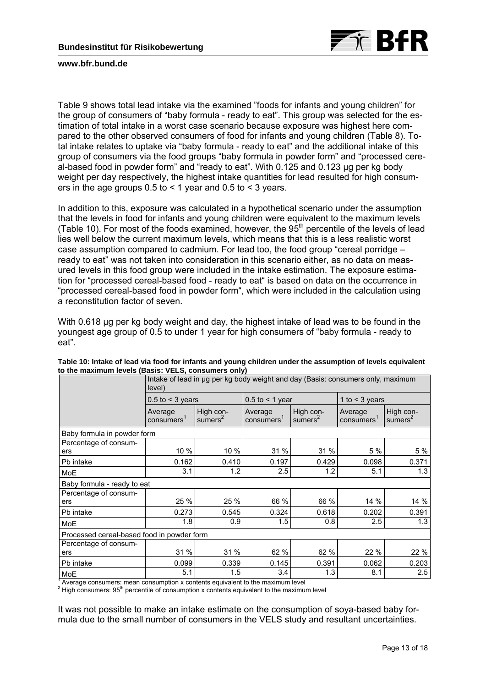

Table 9 shows total lead intake via the examined "foods for infants and young children" for the group of consumers of "baby formula - ready to eat". This group was selected for the estimation of total intake in a worst case scenario because exposure was highest here compared to the other observed consumers of food for infants and young children (Table 8). Total intake relates to uptake via "baby formula - ready to eat" and the additional intake of this group of consumers via the food groups "baby formula in powder form" and "processed cereal-based food in powder form" and "ready to eat". With 0.125 and 0.123 ug per kg body weight per day respectively, the highest intake quantities for lead resulted for high consumers in the age groups  $0.5$  to  $\leq$  1 year and  $0.5$  to  $\leq$  3 years.

In addition to this, exposure was calculated in a hypothetical scenario under the assumption that the levels in food for infants and young children were equivalent to the maximum levels (Table 10). For most of the foods examined, however, the  $95<sup>th</sup>$  percentile of the levels of lead lies well below the current maximum levels, which means that this is a less realistic worst case assumption compared to cadmium. For lead too, the food group "cereal porridge – ready to eat" was not taken into consideration in this scenario either, as no data on measured levels in this food group were included in the intake estimation. The exposure estimation for "processed cereal-based food - ready to eat" is based on data on the occurrence in "processed cereal-based food in powder form", which were included in the calculation using a reconstitution factor of seven.

With 0.618 µg per kg body weight and day, the highest intake of lead was to be found in the youngest age group of 0.5 to under 1 year for high consumers of "baby formula - ready to eat".

|                                                                                    | Intake of lead in µg per kg body weight and day (Basis: consumers only, maximum<br>level) |                                  |                                  |                         |                                  |                         |  |  |  |  |
|------------------------------------------------------------------------------------|-------------------------------------------------------------------------------------------|----------------------------------|----------------------------------|-------------------------|----------------------------------|-------------------------|--|--|--|--|
|                                                                                    | $0.5$ to < 3 years                                                                        |                                  | $0.5$ to $\leq 1$ year           |                         | 1 to $<$ 3 years                 |                         |  |  |  |  |
|                                                                                    | Average<br>consumes <sup>1</sup>                                                          | High con-<br>sumers <sup>2</sup> | Average<br>consumes <sup>1</sup> | High con-<br>sumers $2$ | Average<br>consumes <sup>1</sup> | High con-<br>sumers $2$ |  |  |  |  |
| Baby formula in powder form                                                        |                                                                                           |                                  |                                  |                         |                                  |                         |  |  |  |  |
| Percentage of consum-<br>ers                                                       | 10 %                                                                                      | 10 %                             | 31 %                             | 31 %                    | 5 %                              | 5 %                     |  |  |  |  |
| Pb intake                                                                          | 0.162                                                                                     | 0.410                            | 0.197                            | 0.429                   | 0.098                            | 0.371                   |  |  |  |  |
| MoE                                                                                | 3.1                                                                                       | 1.2                              | 2.5                              | 1.2                     | 5.1                              | 1.3                     |  |  |  |  |
|                                                                                    | Baby formula - ready to eat                                                               |                                  |                                  |                         |                                  |                         |  |  |  |  |
| Percentage of consum-<br>ers                                                       | 25 %                                                                                      | 25 %                             | 66 %                             | 66 %                    | 14 %                             | 14 %                    |  |  |  |  |
| Pb intake                                                                          | 0.273                                                                                     | 0.545                            | 0.324                            | 0.618                   | 0.202                            | 0.391                   |  |  |  |  |
| MoE                                                                                | 1.8                                                                                       | 0.9                              | 1.5                              | 0.8                     | 2.5                              | 1.3                     |  |  |  |  |
| Processed cereal-based food in powder form                                         |                                                                                           |                                  |                                  |                         |                                  |                         |  |  |  |  |
| Percentage of consum-                                                              |                                                                                           |                                  |                                  |                         |                                  |                         |  |  |  |  |
| ers                                                                                | 31 %                                                                                      | 31 %                             | 62 %                             | 62 %                    | 22 %                             | 22 %                    |  |  |  |  |
| Pb intake                                                                          | 0.099                                                                                     | 0.339                            | 0.145                            | 0.391                   | 0.062                            | 0.203                   |  |  |  |  |
| MoE<br>Average consumers mean consumption y contente caujurished the movimum lovel | 5.1                                                                                       | 1.5                              | 3.4                              | 1.3                     | 8.1                              | 2.5                     |  |  |  |  |

**Table 10: Intake of lead via food for infants and young children under the assumption of levels equivalent to the maximum levels (Basis: VELS, consumers only)** 

<sup>1</sup> Average consumers: mean consumption x contents equivalent to the maximum level  $2^{2}$  Uish consumers:  $\Omega_{\rm m}^{\rm th}$  persentile of consumption x contents equivalent to the maximum

 $\frac{2}{1}$  High consumers:  $95<sup>th</sup>$  percentile of consumption x contents equivalent to the maximum level

It was not possible to make an intake estimate on the consumption of soya-based baby formula due to the small number of consumers in the VELS study and resultant uncertainties.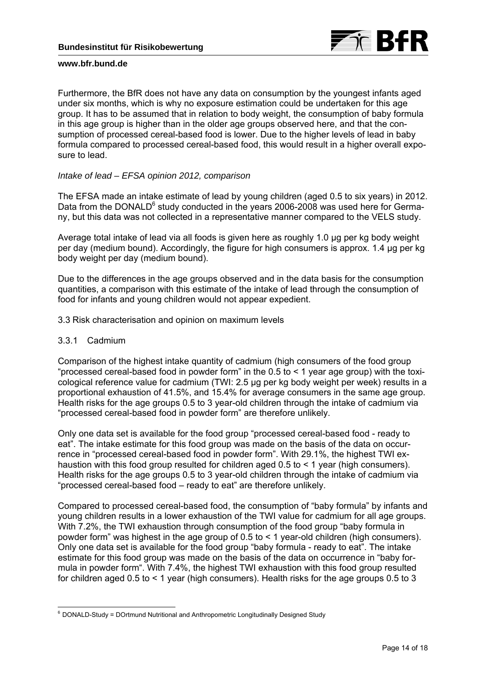

Furthermore, the BfR does not have any data on consumption by the youngest infants aged under six months, which is why no exposure estimation could be undertaken for this age group. It has to be assumed that in relation to body weight, the consumption of baby formula in this age group is higher than in the older age groups observed here, and that the consumption of processed cereal-based food is lower. Due to the higher levels of lead in baby formula compared to processed cereal-based food, this would result in a higher overall exposure to lead.

### *Intake of lead – EFSA opinion 2012, comparison*

The EFSA made an intake estimate of lead by young children (aged 0.5 to six years) in 2012. Data from the DONALD<sup>6</sup> study conducted in the years 2006-2008 was used here for Germany, but this data was not collected in a representative manner compared to the VELS study.

Average total intake of lead via all foods is given here as roughly 1.0 µg per kg body weight per day (medium bound). Accordingly, the figure for high consumers is approx. 1.4 µg per kg body weight per day (medium bound).

Due to the differences in the age groups observed and in the data basis for the consumption quantities, a comparison with this estimate of the intake of lead through the consumption of food for infants and young children would not appear expedient.

3.3 Risk characterisation and opinion on maximum levels

### 3.3.1 Cadmium

Comparison of the highest intake quantity of cadmium (high consumers of the food group "processed cereal-based food in powder form" in the  $0.5$  to  $\leq 1$  year age group) with the toxicological reference value for cadmium (TWI: 2.5 µg per kg body weight per week) results in a proportional exhaustion of 41.5%, and 15.4% for average consumers in the same age group. Health risks for the age groups 0.5 to 3 year-old children through the intake of cadmium via "processed cereal-based food in powder form" are therefore unlikely.

Only one data set is available for the food group "processed cereal-based food - ready to eat". The intake estimate for this food group was made on the basis of the data on occurrence in "processed cereal-based food in powder form". With 29.1%, the highest TWI exhaustion with this food group resulted for children aged  $0.5$  to  $\leq 1$  year (high consumers). Health risks for the age groups 0.5 to 3 year-old children through the intake of cadmium via "processed cereal-based food – ready to eat" are therefore unlikely.

Compared to processed cereal-based food, the consumption of "baby formula" by infants and young children results in a lower exhaustion of the TWI value for cadmium for all age groups. With 7.2%, the TWI exhaustion through consumption of the food group "baby formula in powder form" was highest in the age group of 0.5 to < 1 year-old children (high consumers). Only one data set is available for the food group "baby formula - ready to eat". The intake estimate for this food group was made on the basis of the data on occurrence in "baby formula in powder form". With 7.4%, the highest TWI exhaustion with this food group resulted for children aged 0.5 to < 1 year (high consumers). Health risks for the age groups 0.5 to 3

<sup>-</sup> $6$  DONALD-Study = DOrtmund Nutritional and Anthropometric Longitudinally Designed Study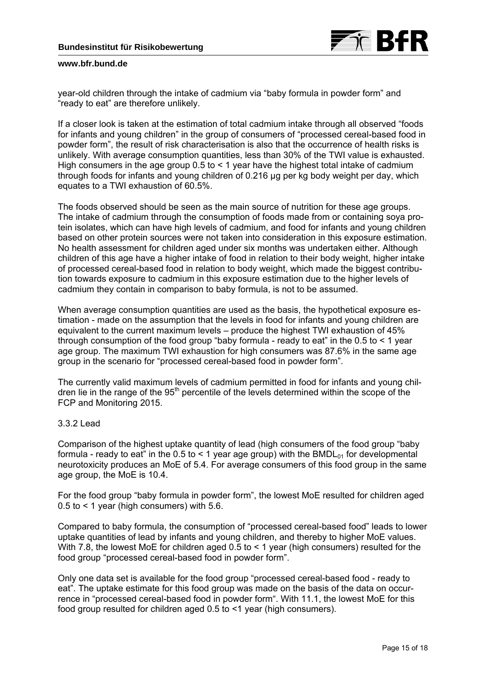

year-old children through the intake of cadmium via "baby formula in powder form" and "ready to eat" are therefore unlikely.

If a closer look is taken at the estimation of total cadmium intake through all observed "foods for infants and young children" in the group of consumers of "processed cereal-based food in powder form", the result of risk characterisation is also that the occurrence of health risks is unlikely. With average consumption quantities, less than 30% of the TWI value is exhausted. High consumers in the age group  $0.5$  to  $\leq 1$  year have the highest total intake of cadmium through foods for infants and young children of 0.216 µg per kg body weight per day, which equates to a TWI exhaustion of 60.5%.

The foods observed should be seen as the main source of nutrition for these age groups. The intake of cadmium through the consumption of foods made from or containing soya protein isolates, which can have high levels of cadmium, and food for infants and young children based on other protein sources were not taken into consideration in this exposure estimation. No health assessment for children aged under six months was undertaken either. Although children of this age have a higher intake of food in relation to their body weight, higher intake of processed cereal-based food in relation to body weight, which made the biggest contribution towards exposure to cadmium in this exposure estimation due to the higher levels of cadmium they contain in comparison to baby formula, is not to be assumed.

When average consumption quantities are used as the basis, the hypothetical exposure estimation - made on the assumption that the levels in food for infants and young children are equivalent to the current maximum levels – produce the highest TWI exhaustion of 45% through consumption of the food group "baby formula - ready to eat" in the  $0.5$  to  $\leq 1$  year age group. The maximum TWI exhaustion for high consumers was 87.6% in the same age group in the scenario for "processed cereal-based food in powder form".

The currently valid maximum levels of cadmium permitted in food for infants and young children lie in the range of the 95<sup>th</sup> percentile of the levels determined within the scope of the FCP and Monitoring 2015.

### 3.3.2 Lead

Comparison of the highest uptake quantity of lead (high consumers of the food group "baby formula - ready to eat" in the 0.5 to < 1 year age group) with the BMDL $_{01}$  for developmental neurotoxicity produces an MoE of 5.4. For average consumers of this food group in the same age group, the MoE is 10.4.

For the food group "baby formula in powder form", the lowest MoE resulted for children aged 0.5 to < 1 year (high consumers) with 5.6.

Compared to baby formula, the consumption of "processed cereal-based food" leads to lower uptake quantities of lead by infants and young children, and thereby to higher MoE values. With 7.8, the lowest MoE for children aged 0.5 to < 1 year (high consumers) resulted for the food group "processed cereal-based food in powder form".

Only one data set is available for the food group "processed cereal-based food - ready to eat". The uptake estimate for this food group was made on the basis of the data on occurrence in "processed cereal-based food in powder form". With 11.1, the lowest MoE for this food group resulted for children aged 0.5 to <1 year (high consumers).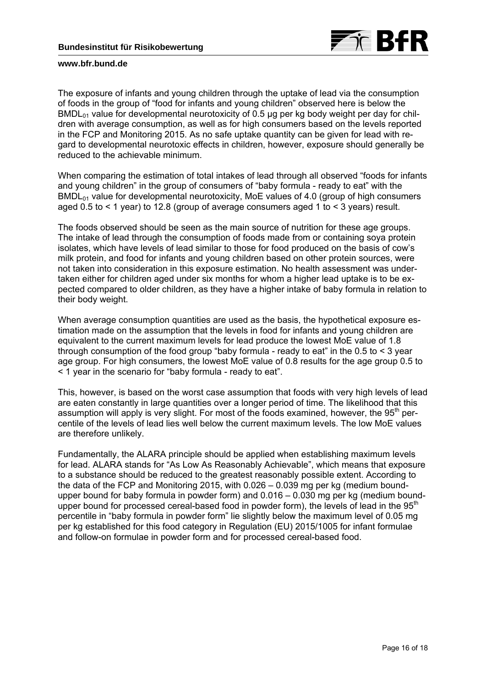

The exposure of infants and young children through the uptake of lead via the consumption of foods in the group of "food for infants and young children" observed here is below the  $BMDL<sub>01</sub>$  value for developmental neurotoxicity of 0.5 µg per kg body weight per day for children with average consumption, as well as for high consumers based on the levels reported in the FCP and Monitoring 2015. As no safe uptake quantity can be given for lead with regard to developmental neurotoxic effects in children, however, exposure should generally be reduced to the achievable minimum.

When comparing the estimation of total intakes of lead through all observed "foods for infants and young children" in the group of consumers of "baby formula - ready to eat" with the  $BMDL<sub>01</sub>$  value for developmental neurotoxicity, MoE values of 4.0 (group of high consumers aged 0.5 to < 1 year) to 12.8 (group of average consumers aged 1 to < 3 years) result.

The foods observed should be seen as the main source of nutrition for these age groups. The intake of lead through the consumption of foods made from or containing soya protein isolates, which have levels of lead similar to those for food produced on the basis of cow's milk protein, and food for infants and young children based on other protein sources, were not taken into consideration in this exposure estimation. No health assessment was undertaken either for children aged under six months for whom a higher lead uptake is to be expected compared to older children, as they have a higher intake of baby formula in relation to their body weight.

When average consumption quantities are used as the basis, the hypothetical exposure estimation made on the assumption that the levels in food for infants and young children are equivalent to the current maximum levels for lead produce the lowest MoE value of 1.8 through consumption of the food group "baby formula - ready to eat" in the 0.5 to < 3 year age group. For high consumers, the lowest MoE value of 0.8 results for the age group 0.5 to < 1 year in the scenario for "baby formula - ready to eat".

This, however, is based on the worst case assumption that foods with very high levels of lead are eaten constantly in large quantities over a longer period of time. The likelihood that this assumption will apply is very slight. For most of the foods examined, however, the 95<sup>th</sup> percentile of the levels of lead lies well below the current maximum levels. The low MoE values are therefore unlikely.

Fundamentally, the ALARA principle should be applied when establishing maximum levels for lead. ALARA stands for "As Low As Reasonably Achievable", which means that exposure to a substance should be reduced to the greatest reasonably possible extent. According to the data of the FCP and Monitoring 2015, with 0.026 – 0.039 mg per kg (medium boundupper bound for baby formula in powder form) and 0.016 – 0.030 mg per kg (medium boundupper bound for processed cereal-based food in powder form), the levels of lead in the  $95<sup>th</sup>$ percentile in "baby formula in powder form" lie slightly below the maximum level of 0.05 mg per kg established for this food category in Regulation (EU) 2015/1005 for infant formulae and follow-on formulae in powder form and for processed cereal-based food.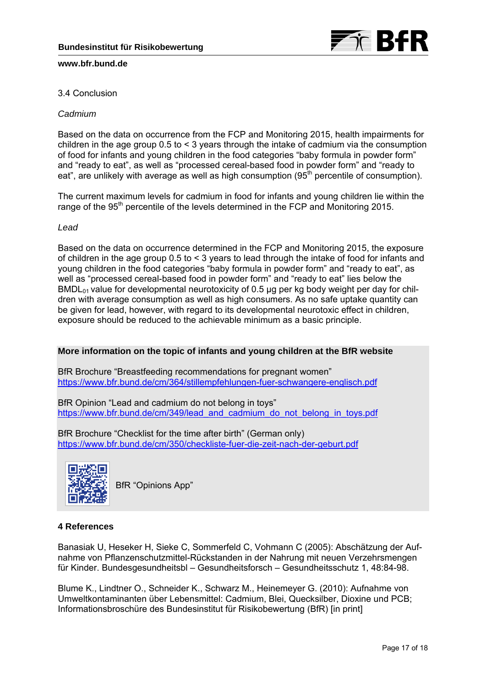

# 3.4 Conclusion

# *Cadmium*

Based on the data on occurrence from the FCP and Monitoring 2015, health impairments for children in the age group 0.5 to < 3 years through the intake of cadmium via the consumption of food for infants and young children in the food categories "baby formula in powder form" and "ready to eat", as well as "processed cereal-based food in powder form" and "ready to eat", are unlikely with average as well as high consumption  $(95<sup>th</sup>$  percentile of consumption).

The current maximum levels for cadmium in food for infants and young children lie within the range of the 95<sup>th</sup> percentile of the levels determined in the FCP and Monitoring 2015.

### *Lead*

Based on the data on occurrence determined in the FCP and Monitoring 2015, the exposure of children in the age group 0.5 to < 3 years to lead through the intake of food for infants and young children in the food categories "baby formula in powder form" and "ready to eat", as well as "processed cereal-based food in powder form" and "ready to eat" lies below the  $BMDL<sub>01</sub>$  value for developmental neurotoxicity of 0.5 µg per kg body weight per day for children with average consumption as well as high consumers. As no safe uptake quantity can be given for lead, however, with regard to its developmental neurotoxic effect in children, exposure should be reduced to the achievable minimum as a basic principle.

### **More information on the topic of infants and young children at the BfR website**

BfR Brochure "Breastfeeding recommendations for pregnant women" https://www.bfr.bund.de/cm/364/stillempfehlungen-fuer-schwangere-englisch.pdf

BfR Opinion "Lead and cadmium do not belong in toys" https://www.bfr.bund.de/cm/349/lead\_and\_cadmium\_do\_not\_belong\_in\_toys.pdf

BfR Brochure "Checklist for the time after birth" (German only) https://www.bfr.bund.de/cm/350/checkliste-fuer-die-zeit-nach-der-geburt.pdf



BfR "Opinions App"

### **4 References**

Banasiak U, Heseker H, Sieke C, Sommerfeld C, Vohmann C (2005): Abschätzung der Aufnahme von Pflanzenschutzmittel-Rückstanden in der Nahrung mit neuen Verzehrsmengen für Kinder. Bundesgesundheitsbl – Gesundheitsforsch – Gesundheitsschutz 1, 48:84-98.

Blume K., Lindtner O., Schneider K., Schwarz M., Heinemeyer G. (2010): Aufnahme von Umweltkontaminanten über Lebensmittel: Cadmium, Blei, Quecksilber, Dioxine und PCB; Informationsbroschüre des Bundesinstitut für Risikobewertung (BfR) [in print]